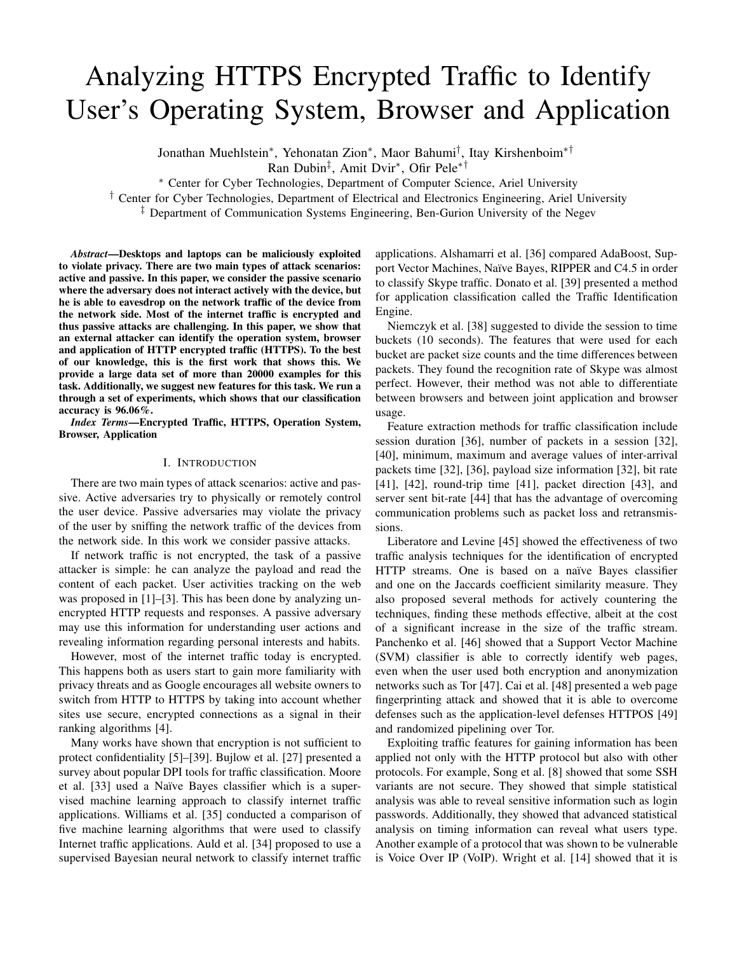# Analyzing HTTPS Encrypted Traffic to Identify User's Operating System, Browser and Application

Jonathan Muehlstein<sup>∗</sup> , Yehonatan Zion<sup>∗</sup> , Maor Bahumi† , Itay Kirshenboim∗†

Ran Dubin‡ , Amit Dvir<sup>∗</sup> , Ofir Pele∗†

<sup>∗</sup> Center for Cyber Technologies, Department of Computer Science, Ariel University

† Center for Cyber Technologies, Department of Electrical and Electronics Engineering, Ariel University

‡ Department of Communication Systems Engineering, Ben-Gurion University of the Negev

*Abstract*—Desktops and laptops can be maliciously exploited to violate privacy. There are two main types of attack scenarios: active and passive. In this paper, we consider the passive scenario where the adversary does not interact actively with the device, but he is able to eavesdrop on the network traffic of the device from the network side. Most of the internet traffic is encrypted and thus passive attacks are challenging. In this paper, we show that an external attacker can identify the operation system, browser and application of HTTP encrypted traffic (HTTPS). To the best of our knowledge, this is the first work that shows this. We provide a large data set of more than 20000 examples for this task. Additionally, we suggest new features for this task. We run a through a set of experiments, which shows that our classification accuracy is 96.06%.

*Index Terms*—Encrypted Traffic, HTTPS, Operation System, Browser, Application

#### I. INTRODUCTION

There are two main types of attack scenarios: active and passive. Active adversaries try to physically or remotely control the user device. Passive adversaries may violate the privacy of the user by sniffing the network traffic of the devices from the network side. In this work we consider passive attacks.

If network traffic is not encrypted, the task of a passive attacker is simple: he can analyze the payload and read the content of each packet. User activities tracking on the web was proposed in [1]–[3]. This has been done by analyzing unencrypted HTTP requests and responses. A passive adversary may use this information for understanding user actions and revealing information regarding personal interests and habits.

However, most of the internet traffic today is encrypted. This happens both as users start to gain more familiarity with privacy threats and as Google encourages all website owners to switch from HTTP to HTTPS by taking into account whether sites use secure, encrypted connections as a signal in their ranking algorithms [4].

Many works have shown that encryption is not sufficient to protect confidentiality [5]–[39]. Bujlow et al. [27] presented a survey about popular DPI tools for traffic classification. Moore et al. [33] used a Naïve Bayes classifier which is a supervised machine learning approach to classify internet traffic applications. Williams et al. [35] conducted a comparison of five machine learning algorithms that were used to classify Internet traffic applications. Auld et al. [34] proposed to use a supervised Bayesian neural network to classify internet traffic

applications. Alshamarri et al. [36] compared AdaBoost, Support Vector Machines, Naïve Bayes, RIPPER and C4.5 in order to classify Skype traffic. Donato et al. [39] presented a method for application classification called the Traffic Identification Engine.

Niemczyk et al. [38] suggested to divide the session to time buckets (10 seconds). The features that were used for each bucket are packet size counts and the time differences between packets. They found the recognition rate of Skype was almost perfect. However, their method was not able to differentiate between browsers and between joint application and browser usage.

Feature extraction methods for traffic classification include session duration [36], number of packets in a session [32], [40], minimum, maximum and average values of inter-arrival packets time [32], [36], payload size information [32], bit rate [41], [42], round-trip time [41], packet direction [43], and server sent bit-rate [44] that has the advantage of overcoming communication problems such as packet loss and retransmissions.

Liberatore and Levine [45] showed the effectiveness of two traffic analysis techniques for the identification of encrypted HTTP streams. One is based on a naïve Bayes classifier and one on the Jaccards coefficient similarity measure. They also proposed several methods for actively countering the techniques, finding these methods effective, albeit at the cost of a significant increase in the size of the traffic stream. Panchenko et al. [46] showed that a Support Vector Machine (SVM) classifier is able to correctly identify web pages, even when the user used both encryption and anonymization networks such as Tor [47]. Cai et al. [48] presented a web page fingerprinting attack and showed that it is able to overcome defenses such as the application-level defenses HTTPOS [49] and randomized pipelining over Tor.

Exploiting traffic features for gaining information has been applied not only with the HTTP protocol but also with other protocols. For example, Song et al. [8] showed that some SSH variants are not secure. They showed that simple statistical analysis was able to reveal sensitive information such as login passwords. Additionally, they showed that advanced statistical analysis on timing information can reveal what users type. Another example of a protocol that was shown to be vulnerable is Voice Over IP (VoIP). Wright et al. [14] showed that it is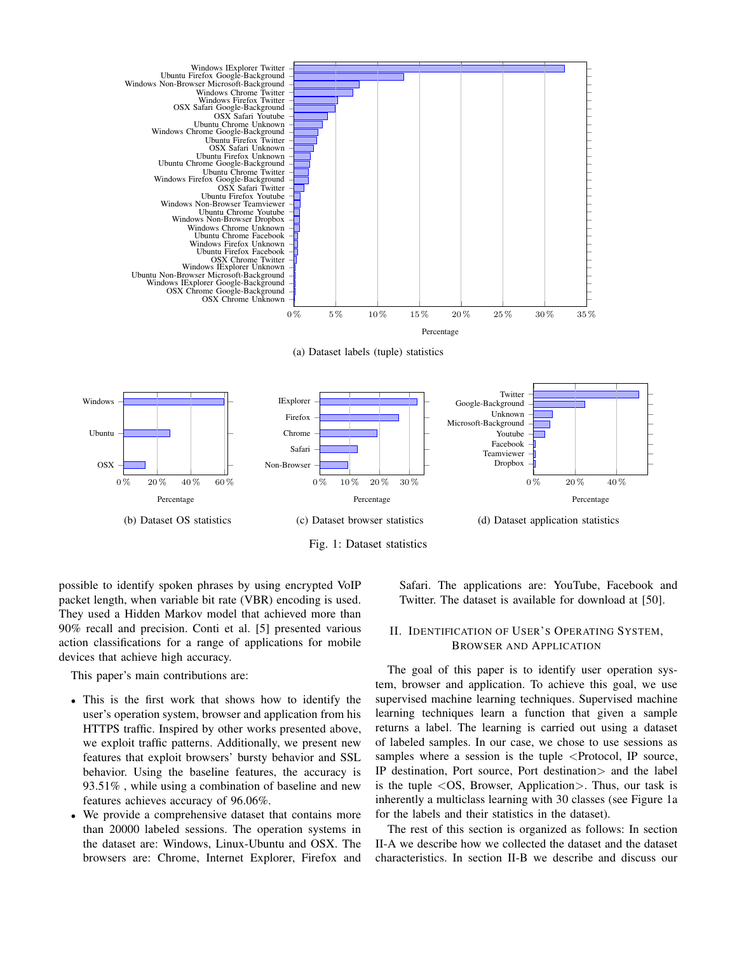

(a) Dataset labels (tuple) statistics





possible to identify spoken phrases by using encrypted VoIP packet length, when variable bit rate (VBR) encoding is used. They used a Hidden Markov model that achieved more than 90% recall and precision. Conti et al. [5] presented various action classifications for a range of applications for mobile devices that achieve high accuracy.

This paper's main contributions are:

- This is the first work that shows how to identify the user's operation system, browser and application from his HTTPS traffic. Inspired by other works presented above, we exploit traffic patterns. Additionally, we present new features that exploit browsers' bursty behavior and SSL behavior. Using the baseline features, the accuracy is 93.51% , while using a combination of baseline and new features achieves accuracy of 96.06%.
- We provide a comprehensive dataset that contains more than 20000 labeled sessions. The operation systems in the dataset are: Windows, Linux-Ubuntu and OSX. The browsers are: Chrome, Internet Explorer, Firefox and

Safari. The applications are: YouTube, Facebook and Twitter. The dataset is available for download at [50].

### II. IDENTIFICATION OF USER'S OPERATING SYSTEM, BROWSER AND APPLICATION

The goal of this paper is to identify user operation system, browser and application. To achieve this goal, we use supervised machine learning techniques. Supervised machine learning techniques learn a function that given a sample returns a label. The learning is carried out using a dataset of labeled samples. In our case, we chose to use sessions as samples where a session is the tuple  $\leq$ Protocol, IP source, IP destination, Port source, Port destination> and the label is the tuple <OS, Browser, Application>. Thus, our task is inherently a multiclass learning with 30 classes (see Figure 1a for the labels and their statistics in the dataset).

The rest of this section is organized as follows: In section II-A we describe how we collected the dataset and the dataset characteristics. In section II-B we describe and discuss our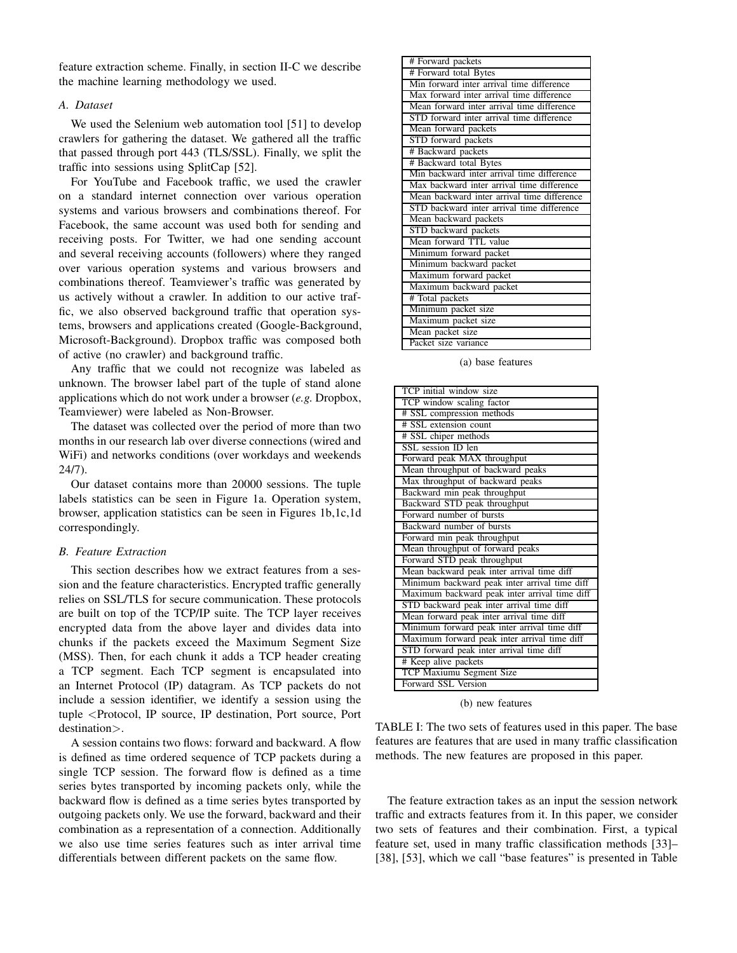feature extraction scheme. Finally, in section II-C we describe the machine learning methodology we used.

# *A. Dataset*

We used the Selenium web automation tool [51] to develop crawlers for gathering the dataset. We gathered all the traffic that passed through port 443 (TLS/SSL). Finally, we split the traffic into sessions using SplitCap [52].

For YouTube and Facebook traffic, we used the crawler on a standard internet connection over various operation systems and various browsers and combinations thereof. For Facebook, the same account was used both for sending and receiving posts. For Twitter, we had one sending account and several receiving accounts (followers) where they ranged over various operation systems and various browsers and combinations thereof. Teamviewer's traffic was generated by us actively without a crawler. In addition to our active traffic, we also observed background traffic that operation systems, browsers and applications created (Google-Background, Microsoft-Background). Dropbox traffic was composed both of active (no crawler) and background traffic.

Any traffic that we could not recognize was labeled as unknown. The browser label part of the tuple of stand alone applications which do not work under a browser (*e.g.* Dropbox, Teamviewer) were labeled as Non-Browser.

The dataset was collected over the period of more than two months in our research lab over diverse connections (wired and WiFi) and networks conditions (over workdays and weekends 24/7).

Our dataset contains more than 20000 sessions. The tuple labels statistics can be seen in Figure 1a. Operation system, browser, application statistics can be seen in Figures 1b,1c,1d correspondingly.

# *B. Feature Extraction*

This section describes how we extract features from a session and the feature characteristics. Encrypted traffic generally relies on SSL/TLS for secure communication. These protocols are built on top of the TCP/IP suite. The TCP layer receives encrypted data from the above layer and divides data into chunks if the packets exceed the Maximum Segment Size (MSS). Then, for each chunk it adds a TCP header creating a TCP segment. Each TCP segment is encapsulated into an Internet Protocol (IP) datagram. As TCP packets do not include a session identifier, we identify a session using the tuple <Protocol, IP source, IP destination, Port source, Port destination>.

A session contains two flows: forward and backward. A flow is defined as time ordered sequence of TCP packets during a single TCP session. The forward flow is defined as a time series bytes transported by incoming packets only, while the backward flow is defined as a time series bytes transported by outgoing packets only. We use the forward, backward and their combination as a representation of a connection. Additionally we also use time series features such as inter arrival time differentials between different packets on the same flow.

| # Forward packets                           |
|---------------------------------------------|
| # Forward total Bytes                       |
| Min forward inter arrival time difference   |
| Max forward inter arrival time difference   |
| Mean forward inter arrival time difference  |
| STD forward inter arrival time difference   |
| Mean forward packets                        |
| STD forward packets                         |
| # Backward packets                          |
| # Backward total Bytes                      |
| Min backward inter arrival time difference  |
| Max backward inter arrival time difference  |
| Mean backward inter arrival time difference |
| STD backward inter arrival time difference  |
| Mean backward packets                       |
| STD backward packets                        |
| Mean forward TTL value                      |
| Minimum forward packet                      |
| Minimum backward packet                     |
| Maximum forward packet                      |
| Maximum backward packet                     |
| # Total packets                             |
| Minimum packet size                         |
| Maximum packet size                         |
| Mean packet size                            |
| Packet size variance                        |

(a) base features

| TCP initial window size                       |
|-----------------------------------------------|
| TCP window scaling factor                     |
| # SSL compression methods                     |
| # SSL extension count                         |
| # SSL chiper methods                          |
| SSL session ID len                            |
| Forward peak MAX throughput                   |
| Mean throughput of backward peaks             |
| Max throughput of backward peaks              |
| Backward min peak throughput                  |
| Backward STD peak throughput                  |
| Forward number of bursts                      |
| Backward number of bursts                     |
| Forward min peak throughput                   |
| Mean throughput of forward peaks              |
| Forward STD peak throughput                   |
| Mean backward peak inter arrival time diff    |
| Minimum backward peak inter arrival time diff |
| Maximum backward peak inter arrival time diff |
| STD backward peak inter arrival time diff     |
| Mean forward peak inter arrival time diff     |
| Minimum forward peak inter arrival time diff  |
| Maximum forward peak inter arrival time diff  |
| STD forward peak inter arrival time diff      |
| # Keep alive packets                          |
| TCP Maxiumu Segment Size                      |
| Forward SSL Version                           |

(b) new features

TABLE I: The two sets of features used in this paper. The base features are features that are used in many traffic classification methods. The new features are proposed in this paper.

The feature extraction takes as an input the session network traffic and extracts features from it. In this paper, we consider two sets of features and their combination. First, a typical feature set, used in many traffic classification methods [33]– [38], [53], which we call "base features" is presented in Table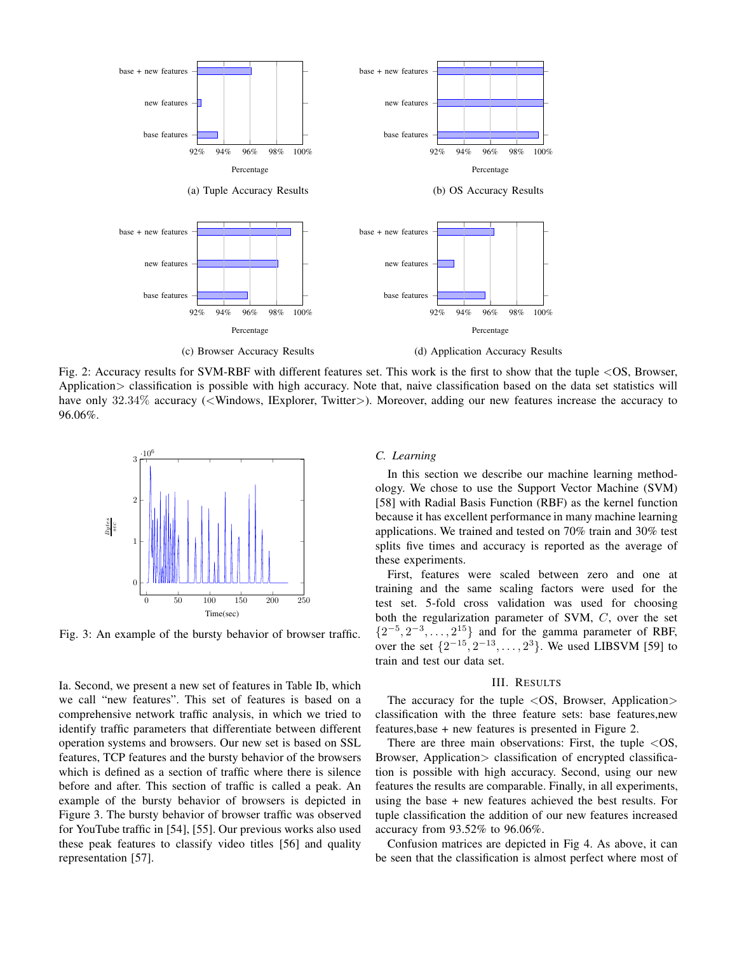

Fig. 2: Accuracy results for SVM-RBF with different features set. This work is the first to show that the tuple <OS, Browser, Application > classification is possible with high accuracy. Note that, naive classification based on the data set statistics will have only 32.34% accuracy (<Windows, IExplorer, Twitter>). Moreover, adding our new features increase the accuracy to 96.06%.



Fig. 3: An example of the bursty behavior of browser traffic.

Ia. Second, we present a new set of features in Table Ib, which we call "new features". This set of features is based on a comprehensive network traffic analysis, in which we tried to identify traffic parameters that differentiate between different operation systems and browsers. Our new set is based on SSL features, TCP features and the bursty behavior of the browsers which is defined as a section of traffic where there is silence before and after. This section of traffic is called a peak. An example of the bursty behavior of browsers is depicted in Figure 3. The bursty behavior of browser traffic was observed for YouTube traffic in [54], [55]. Our previous works also used these peak features to classify video titles [56] and quality representation [57].

## *C. Learning*

In this section we describe our machine learning methodology. We chose to use the Support Vector Machine (SVM) [58] with Radial Basis Function (RBF) as the kernel function because it has excellent performance in many machine learning applications. We trained and tested on 70% train and 30% test splits five times and accuracy is reported as the average of these experiments.

First, features were scaled between zero and one at training and the same scaling factors were used for the test set. 5-fold cross validation was used for choosing both the regularization parameter of SVM, C, over the set  $\{2^{-5}, 2^{-3}, \ldots, 2^{15}\}$  and for the gamma parameter of RBF, over the set  $\{2^{-15}, 2^{-13}, \ldots, 2^3\}$ . We used LIBSVM [59] to train and test our data set.

### III. RESULTS

The accuracy for the tuple  $\langle OS, Brouser, Application \rangle$ classification with the three feature sets: base features,new features,base + new features is presented in Figure 2.

There are three main observations: First, the tuple  $\langle OS,$ Browser, Application > classification of encrypted classification is possible with high accuracy. Second, using our new features the results are comparable. Finally, in all experiments, using the base + new features achieved the best results. For tuple classification the addition of our new features increased accuracy from 93.52% to 96.06%.

Confusion matrices are depicted in Fig 4. As above, it can be seen that the classification is almost perfect where most of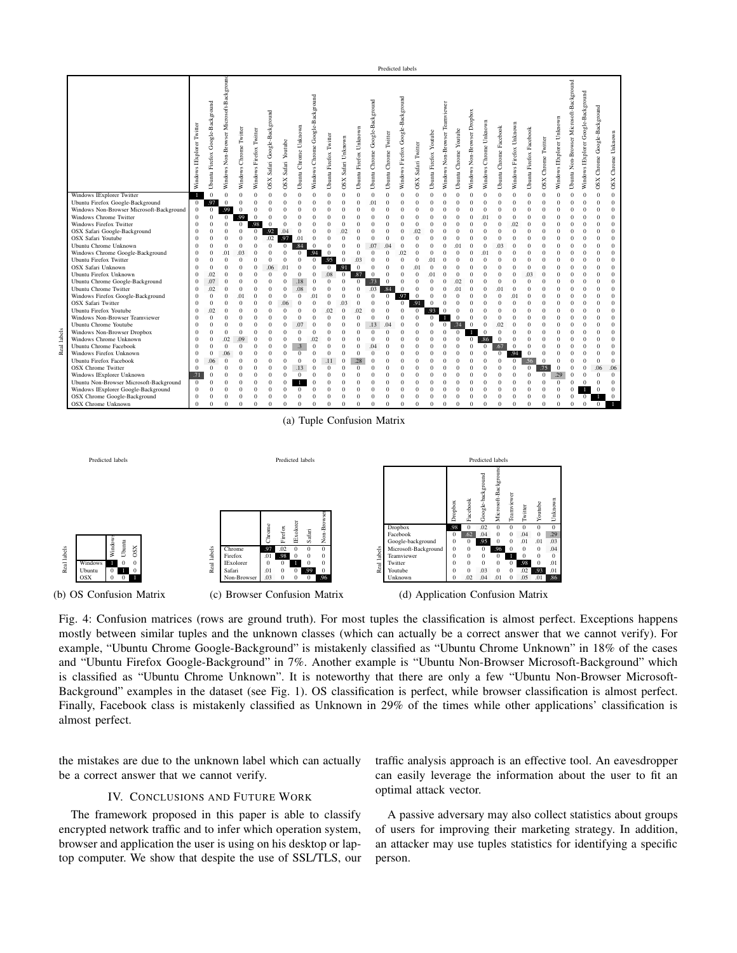

(a) Tuple Confusion Matrix



Fig. 4: Confusion matrices (rows are ground truth). For most tuples the classification is almost perfect. Exceptions happens mostly between similar tuples and the unknown classes (which can actually be a correct answer that we cannot verify). For example, "Ubuntu Chrome Google-Background" is mistakenly classified as "Ubuntu Chrome Unknown" in 18% of the cases and "Ubuntu Firefox Google-Background" in 7%. Another example is "Ubuntu Non-Browser Microsoft-Background" which is classified as "Ubuntu Chrome Unknown". It is noteworthy that there are only a few "Ubuntu Non-Browser Microsoft-Background" examples in the dataset (see Fig. 1). OS classification is perfect, while browser classification is almost perfect. Finally, Facebook class is mistakenly classified as Unknown in 29% of the times while other applications' classification is almost perfect.

the mistakes are due to the unknown label which can actually be a correct answer that we cannot verify.

## IV. CONCLUSIONS AND FUTURE WORK

The framework proposed in this paper is able to classify encrypted network traffic and to infer which operation system, browser and application the user is using on his desktop or laptop computer. We show that despite the use of SSL/TLS, our

traffic analysis approach is an effective tool. An eavesdropper can easily leverage the information about the user to fit an optimal attack vector.

A passive adversary may also collect statistics about groups of users for improving their marketing strategy. In addition, an attacker may use tuples statistics for identifying a specific person.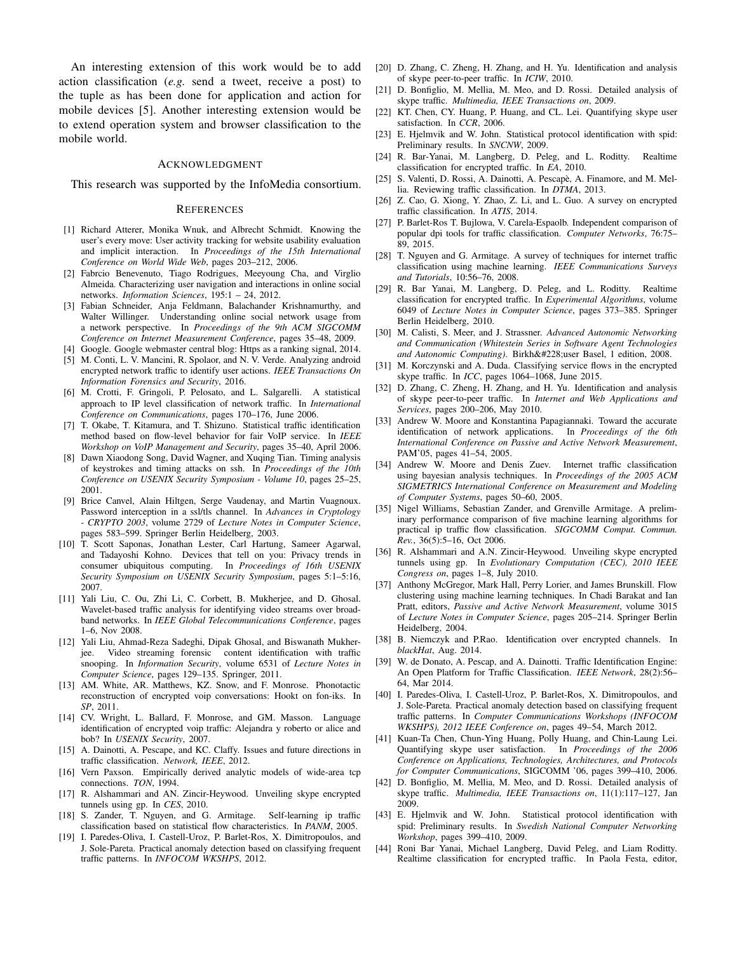An interesting extension of this work would be to add action classification (*e.g.* send a tweet, receive a post) to the tuple as has been done for application and action for mobile devices [5]. Another interesting extension would be to extend operation system and browser classification to the mobile world.

#### ACKNOWLEDGMENT

This research was supported by the InfoMedia consortium.

#### **REFERENCES**

- [1] Richard Atterer, Monika Wnuk, and Albrecht Schmidt. Knowing the user's every move: User activity tracking for website usability evaluation and implicit interaction. In *Proceedings of the 15th International Conference on World Wide Web*, pages 203–212, 2006.
- [2] Fabrcio Benevenuto, Tiago Rodrigues, Meeyoung Cha, and Virglio Almeida. Characterizing user navigation and interactions in online social networks. *Information Sciences*, 195:1 – 24, 2012.
- [3] Fabian Schneider, Anja Feldmann, Balachander Krishnamurthy, and Walter Willinger. Understanding online social network usage from a network perspective. In *Proceedings of the 9th ACM SIGCOMM Conference on Internet Measurement Conference*, pages 35–48, 2009.
- [4] Google. Google webmaster central blog: Https as a ranking signal, 2014.
- [5] M. Conti, L. V. Mancini, R. Spolaor, and N. V. Verde. Analyzing android encrypted network traffic to identify user actions. *IEEE Transactions On Information Forensics and Security*, 2016.
- [6] M. Crotti, F. Gringoli, P. Pelosato, and L. Salgarelli. A statistical approach to IP level classification of network traffic. In *International Conference on Communications*, pages 170–176, June 2006.
- [7] T. Okabe, T. Kitamura, and T. Shizuno. Statistical traffic identification method based on flow-level behavior for fair VoIP service. In *IEEE Workshop on VoIP Management and Security*, pages 35–40, April 2006.
- [8] Dawn Xiaodong Song, David Wagner, and Xuqing Tian. Timing analysis of keystrokes and timing attacks on ssh. In *Proceedings of the 10th Conference on USENIX Security Symposium - Volume 10*, pages 25–25, 2001.
- [9] Brice Canvel, Alain Hiltgen, Serge Vaudenay, and Martin Vuagnoux. Password interception in a ssl/tls channel. In *Advances in Cryptology - CRYPTO 2003*, volume 2729 of *Lecture Notes in Computer Science*, pages 583–599. Springer Berlin Heidelberg, 2003.
- [10] T. Scott Saponas, Jonathan Lester, Carl Hartung, Sameer Agarwal, and Tadayoshi Kohno. Devices that tell on you: Privacy trends in consumer ubiquitous computing. In *Proceedings of 16th USENIX Security Symposium on USENIX Security Symposium*, pages 5:1–5:16, 2007.
- [11] Yali Liu, C. Ou, Zhi Li, C. Corbett, B. Mukherjee, and D. Ghosal. Wavelet-based traffic analysis for identifying video streams over broadband networks. In *IEEE Global Telecommunications Conference*, pages 1–6, Nov 2008.
- [12] Yali Liu, Ahmad-Reza Sadeghi, Dipak Ghosal, and Biswanath Mukherjee. Video streaming forensic content identification with traffic snooping. In *Information Security*, volume 6531 of *Lecture Notes in Computer Science*, pages 129–135. Springer, 2011.
- [13] AM. White, AR. Matthews, KZ. Snow, and F. Monrose. Phonotactic reconstruction of encrypted voip conversations: Hookt on fon-iks. In *SP*, 2011.
- [14] CV. Wright, L. Ballard, F. Monrose, and GM. Masson. Language identification of encrypted voip traffic: Alejandra y roberto or alice and bob? In *USENIX Security*, 2007.
- [15] A. Dainotti, A. Pescape, and KC. Claffy. Issues and future directions in traffic classification. *Network, IEEE*, 2012.
- [16] Vern Paxson. Empirically derived analytic models of wide-area tcp connections. *TON*, 1994.
- [17] R. Alshammari and AN. Zincir-Heywood. Unveiling skype encrypted tunnels using gp. In *CES*, 2010.
- [18] S. Zander, T. Nguyen, and G. Armitage. Self-learning ip traffic classification based on statistical flow characteristics. In *PANM*, 2005.
- [19] I. Paredes-Oliva, I. Castell-Uroz, P. Barlet-Ros, X. Dimitropoulos, and J. Sole-Pareta. Practical anomaly detection based on classifying frequent traffic patterns. In *INFOCOM WKSHPS*, 2012.
- [20] D. Zhang, C. Zheng, H. Zhang, and H. Yu. Identification and analysis of skype peer-to-peer traffic. In *ICIW*, 2010.
- [21] D. Bonfiglio, M. Mellia, M. Meo, and D. Rossi. Detailed analysis of skype traffic. *Multimedia, IEEE Transactions on*, 2009.
- [22] KT. Chen, CY. Huang, P. Huang, and CL. Lei. Quantifying skype user satisfaction. In *CCR*, 2006.
- [23] E. Hjelmvik and W. John. Statistical protocol identification with spid: Preliminary results. In *SNCNW*, 2009.
- [24] R. Bar-Yanai, M. Langberg, D. Peleg, and L. Roditty. Realtime classification for encrypted traffic. In *EA*, 2010.
- [25] S. Valenti, D. Rossi, A. Dainotti, A. Pescapè, A. Finamore, and M. Mellia. Reviewing traffic classification. In *DTMA*, 2013.
- [26] Z. Cao, G. Xiong, Y. Zhao, Z. Li, and L. Guo. A survey on encrypted traffic classification. In *ATIS*, 2014.
- [27] P. Barlet-Ros T. Bujlowa, V. Carela-Espaolb. Independent comparison of popular dpi tools for traffic classification. *Computer Networks*, 76:75– 89, 2015.
- [28] T. Nguyen and G. Armitage. A survey of techniques for internet traffic classification using machine learning. *IEEE Communications Surveys and Tutorials*, 10:56–76, 2008.
- [29] R. Bar Yanai, M. Langberg, D. Peleg, and L. Roditty. Realtime classification for encrypted traffic. In *Experimental Algorithms*, volume 6049 of *Lecture Notes in Computer Science*, pages 373–385. Springer Berlin Heidelberg, 2010.
- [30] M. Calisti, S. Meer, and J. Strassner. *Advanced Autonomic Networking and Communication (Whitestein Series in Software Agent Technologies* and Autonomic Computing). Birkhäuser Basel, 1 edition, 2008.
- [31] M. Korczynski and A. Duda. Classifying service flows in the encrypted skype traffic. In *ICC*, pages 1064–1068, June 2015.
- [32] D. Zhang, C. Zheng, H. Zhang, and H. Yu. Identification and analysis of skype peer-to-peer traffic. In *Internet and Web Applications and Services*, pages 200–206, May 2010.
- [33] Andrew W. Moore and Konstantina Papagiannaki. Toward the accurate identification of network applications. In *Proceedings of the 6th International Conference on Passive and Active Network Measurement*, PAM'05, pages 41–54, 2005.
- [34] Andrew W. Moore and Denis Zuev. Internet traffic classification using bayesian analysis techniques. In *Proceedings of the 2005 ACM SIGMETRICS International Conference on Measurement and Modeling of Computer Systems*, pages 50–60, 2005.
- [35] Nigel Williams, Sebastian Zander, and Grenville Armitage. A preliminary performance comparison of five machine learning algorithms for practical ip traffic flow classification. *SIGCOMM Comput. Commun. Rev.*, 36(5):5–16, Oct 2006.
- [36] R. Alshammari and A.N. Zincir-Heywood. Unveiling skype encrypted tunnels using gp. In *Evolutionary Computation (CEC), 2010 IEEE Congress on*, pages 1–8, July 2010.
- [37] Anthony McGregor, Mark Hall, Perry Lorier, and James Brunskill. Flow clustering using machine learning techniques. In Chadi Barakat and Ian Pratt, editors, *Passive and Active Network Measurement*, volume 3015 of *Lecture Notes in Computer Science*, pages 205–214. Springer Berlin Heidelberg, 2004.
- [38] B. Niemczyk and P.Rao. Identification over encrypted channels. In *blackHat*, Aug. 2014.
- [39] W. de Donato, A. Pescap, and A. Dainotti. Traffic Identification Engine: An Open Platform for Traffic Classification. *IEEE Network*, 28(2):56– 64, Mar 2014.
- [40] I. Paredes-Oliva, I. Castell-Uroz, P. Barlet-Ros, X. Dimitropoulos, and J. Sole-Pareta. Practical anomaly detection based on classifying frequent traffic patterns. In *Computer Communications Workshops (INFOCOM WKSHPS), 2012 IEEE Conference on*, pages 49–54, March 2012.
- [41] Kuan-Ta Chen, Chun-Ying Huang, Polly Huang, and Chin-Laung Lei. Quantifying skype user satisfaction. In *Proceedings of the 2006 Conference on Applications, Technologies, Architectures, and Protocols for Computer Communications*, SIGCOMM '06, pages 399–410, 2006.
- [42] D. Bonfiglio, M. Mellia, M. Meo, and D. Rossi. Detailed analysis of skype traffic. *Multimedia, IEEE Transactions on*, 11(1):117–127, Jan 2009.
- [43] E. Hjelmvik and W. John. Statistical protocol identification with spid: Preliminary results. In *Swedish National Computer Networking Workshop*, pages 399–410, 2009.
- [44] Roni Bar Yanai, Michael Langberg, David Peleg, and Liam Roditty. Realtime classification for encrypted traffic. In Paola Festa, editor,